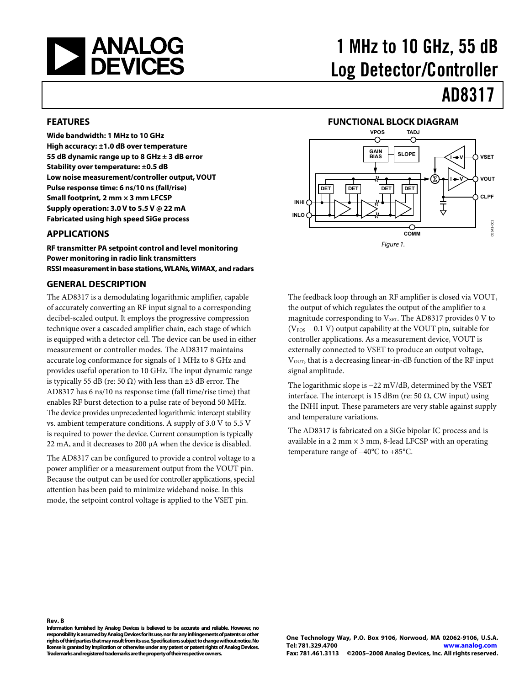<span id="page-0-0"></span>

# 1 MHz to 10 GHz, 55 dB Log Detector/Controller

# AD8317

#### **FEATURES**

**Wide bandwidth: 1 MHz to 10 GHz High accuracy: ±1.0 dB over temperature 55 dB dynamic range up to 8 GHz ± 3 dB error Stability over temperature: ±0.5 dB Low noise measurement/controller output, VOUT Pulse response time: 6 ns/10 ns (fall/rise) Small footprint, 2 mm × 3 mm LFCSP Supply operation: 3.0 V to 5.5 V @ 22 mA Fabricated using high speed SiGe process** 

#### **APPLICATIONS**

**RF transmitter PA setpoint control and level monitoring Power monitoring in radio link transmitters RSSI measurement in base stations, WLANs, WiMAX, and radars** 

#### **GENERAL DESCRIPTION**

The AD8317 is a demodulating logarithmic amplifier, capable of accurately converting an RF input signal to a corresponding decibel-scaled output. It employs the progressive compression technique over a cascaded amplifier chain, each stage of which is equipped with a detector cell. The device can be used in either measurement or controller modes. The AD8317 maintains accurate log conformance for signals of 1 MHz to 8 GHz and provides useful operation to 10 GHz. The input dynamic range is typically 55 dB (re: 50 Ω) with less than  $±3$  dB error. The AD8317 has 6 ns/10 ns response time (fall time/rise time) that enables RF burst detection to a pulse rate of beyond 50 MHz. The device provides unprecedented logarithmic intercept stability vs. ambient temperature conditions. A supply of 3.0 V to 5.5 V is required to power the device. Current consumption is typically 22 mA, and it decreases to 200 μA when the device is disabled.

The AD8317 can be configured to provide a control voltage to a power amplifier or a measurement output from the VOUT pin. Because the output can be used for controller applications, special attention has been paid to minimize wideband noise. In this mode, the setpoint control voltage is applied to the VSET pin.



The feedback loop through an RF amplifier is closed via VOUT, the output of which regulates the output of the amplifier to a magnitude corresponding to  $V<sub>SET</sub>$ . The AD8317 provides 0 V to  $(V_{POS} - 0.1 V)$  output capability at the VOUT pin, suitable for controller applications. As a measurement device, VOUT is externally connected to VSET to produce an output voltage, V<sub>OUT</sub>, that is a decreasing linear-in-dB function of the RF input signal amplitude.

The logarithmic slope is −22 mV/dB, determined by the VSET interface. The intercept is 15 dBm (re: 50 Ω, CW input) using the INHI input. These parameters are very stable against supply and temperature variations.

The AD8317 is fabricated on a SiGe bipolar IC process and is available in a 2 mm  $\times$  3 mm, 8-lead LFCSP with an operating temperature range of −40°C to +85°C.

#### **Rev. B**

**Information furnished by Analog Devices is believed to be accurate and reliable. However, no responsibility is assumed by Analog Devices for its use, nor for any infringements of patents or other rights of third parties that may result from its use. Specifications subject to change without notice. No license is granted by implication or otherwise under any patent or patent rights of Analog Devices. Trademarks and registered trademarks are the property of their respective owners.**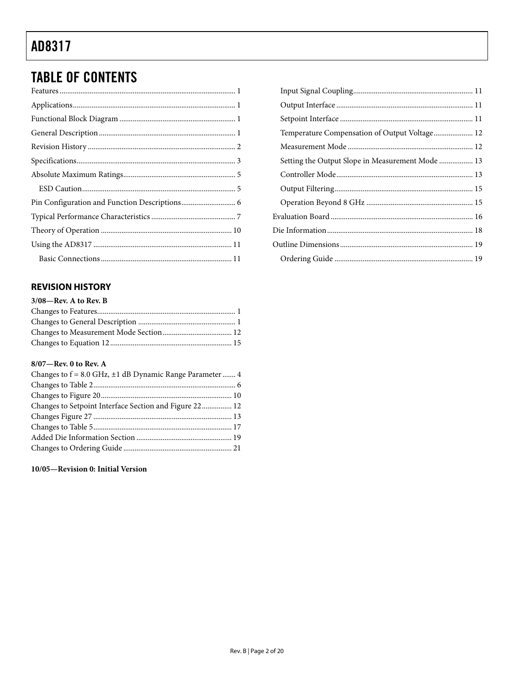## <span id="page-1-0"></span>**TABLE OF CONTENTS**

### **REVISION HISTORY**

| 3/08-Rev. A to Rev. B |  |
|-----------------------|--|
|                       |  |
|                       |  |
|                       |  |
|                       |  |

#### 8/07-Rev. 0 to Rev. A

| Changes to $f = 8.0$ GHz, $\pm 1$ dB Dynamic Range Parameter  4 |  |
|-----------------------------------------------------------------|--|
|                                                                 |  |
|                                                                 |  |
| Changes to Setpoint Interface Section and Figure 22 12          |  |
|                                                                 |  |
|                                                                 |  |
|                                                                 |  |
|                                                                 |  |

10/05-Revision 0: Initial Version

| Temperature Compensation of Output Voltage 12 |  |
|-----------------------------------------------|--|
|                                               |  |
|                                               |  |
|                                               |  |
|                                               |  |
|                                               |  |
|                                               |  |
|                                               |  |
|                                               |  |
|                                               |  |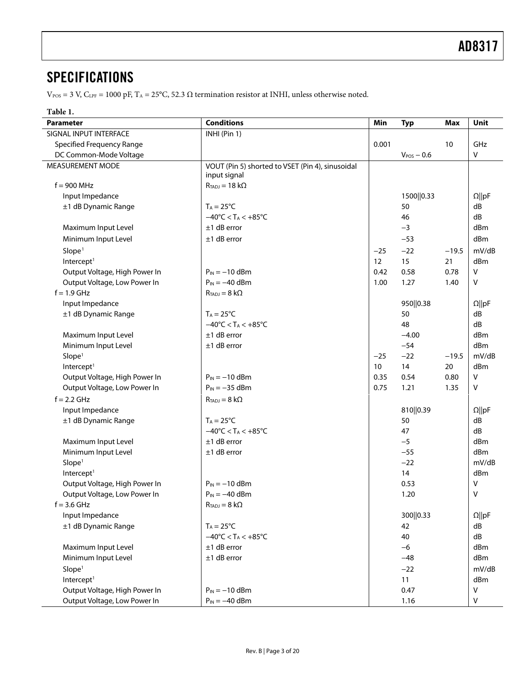### <span id="page-2-1"></span><span id="page-2-0"></span>**SPECIFICATIONS**

 $V_{\rm POS}$  = 3 V, C<sub>LPF</sub> = 1000 pF, T<sub>A</sub> = 25°C, 52.3 Ω termination resistor at INHI, unless otherwise noted.

### **Table 1.**

| <b>Parameter</b>                 | <b>Conditions</b>                                  | Min             | <b>Typ</b>      | Max     | Unit          |
|----------------------------------|----------------------------------------------------|-----------------|-----------------|---------|---------------|
| SIGNAL INPUT INTERFACE           | INHI (Pin 1)                                       |                 |                 |         |               |
| <b>Specified Frequency Range</b> |                                                    | 0.001           |                 | 10      | GHz           |
| DC Common-Mode Voltage           |                                                    |                 | $V_{POS} - 0.6$ |         | V             |
| MEASUREMENT MODE                 | VOUT (Pin 5) shorted to VSET (Pin 4), sinusoidal   |                 |                 |         |               |
|                                  | input signal                                       |                 |                 |         |               |
| $f = 900$ MHz                    | $R_{TADJ} = 18 k\Omega$                            |                 |                 |         |               |
| Input Impedance                  |                                                    |                 | 1500  0.33      |         | $\Omega$   pF |
| ±1 dB Dynamic Range              | $T_A = 25^{\circ}C$                                |                 | 50              |         | dB            |
|                                  | $-40^{\circ}$ C < T <sub>A</sub> < $+85^{\circ}$ C |                 | 46              |         | dB            |
| Maximum Input Level              | $±1$ dB error                                      |                 | $-3$            |         | dBm           |
| Minimum Input Level              | $±1$ dB error                                      |                 | $-53$           |         | dBm           |
| Slope <sup>1</sup>               |                                                    | $-25$           | $-22$           | $-19.5$ | mV/dB         |
| Intercept <sup>1</sup>           |                                                    | 12              | 15              | 21      | dBm           |
| Output Voltage, High Power In    | $P_{IN} = -10$ dBm                                 | 0.42            | 0.58            | 0.78    | $\vee$        |
| Output Voltage, Low Power In     | $P_{IN} = -40$ dBm                                 | 1.00            | 1.27            | 1.40    | $\vee$        |
| $f = 1.9$ GHz                    | $R_{TADJ} = 8 k\Omega$                             |                 |                 |         |               |
| Input Impedance                  |                                                    |                 | 950  0.38       |         | $\Omega$   pF |
| ±1 dB Dynamic Range              | $T_A = 25^{\circ}C$                                |                 | 50              |         | dB            |
|                                  | $-40^{\circ}$ C < T <sub>A</sub> < $+85^{\circ}$ C |                 | 48              |         | dB            |
| Maximum Input Level              | $±1$ dB error                                      |                 | $-4.00$         |         | dBm           |
| Minimum Input Level              | $±1$ dB error                                      |                 | $-54$           |         | dBm           |
| Slope <sup>1</sup>               |                                                    | $-25$           | $-22$           | $-19.5$ | mV/dB         |
| Intercept <sup>1</sup>           |                                                    | 10 <sup>°</sup> | 14              | 20      | dBm           |
| Output Voltage, High Power In    | $P_{IN} = -10$ dBm                                 | 0.35            | 0.54            | 0.80    | $\mathsf{V}$  |
| Output Voltage, Low Power In     | $P_{IN} = -35$ dBm                                 | 0.75            | 1.21            | 1.35    | $\vee$        |
| $f = 2.2$ GHz                    | $R_{TADJ} = 8 k\Omega$                             |                 |                 |         |               |
| Input Impedance                  |                                                    |                 | 810  0.39       |         | $\Omega$   pF |
| ±1 dB Dynamic Range              | $T_A = 25^{\circ}C$                                |                 | 50              |         | dB            |
|                                  | $-40^{\circ}$ C < T <sub>A</sub> < $+85^{\circ}$ C |                 | 47              |         | dB            |
| Maximum Input Level              | $±1$ dB error                                      |                 | $-5$            |         | dBm           |
| Minimum Input Level              | $±1$ dB error                                      |                 | $-55$           |         | dBm           |
| Slope <sup>1</sup>               |                                                    |                 | $-22$           |         | mV/dB         |
| Intercept <sup>1</sup>           |                                                    |                 | 14              |         | dBm           |
|                                  | $P_{IN} = -10$ dBm                                 |                 |                 |         |               |
| Output Voltage, High Power In    |                                                    |                 | 0.53            |         | v             |
| Output Voltage, Low Power In     | $P_{IN} = -40$ dBm                                 |                 | 1.20            |         | v             |
| $f = 3.6$ GHz                    | $R_{TADJ}=8~k\Omega$                               |                 |                 |         |               |
| Input Impedance                  |                                                    |                 | 300  0.33       |         | $\Omega$   pF |
| ±1 dB Dynamic Range              | $T_A = 25^{\circ}C$                                |                 | 42              |         | dB            |
|                                  | $-40^{\circ}$ C < T <sub>A</sub> < $+85^{\circ}$ C |                 | 40              |         | dB            |
| Maximum Input Level              | $±1$ dB error                                      |                 | $-6$            |         | dBm           |
| Minimum Input Level              | $±1$ dB error                                      |                 | $-48$           |         | dBm           |
| Slope <sup>1</sup>               |                                                    |                 | $-22$           |         | mV/dB         |
| Intercept <sup>1</sup>           |                                                    |                 | 11              |         | dBm           |
| Output Voltage, High Power In    | $P_{IN} = -10$ dBm                                 |                 | 0.47            |         | $\sf V$       |
| Output Voltage, Low Power In     | $P_{IN} = -40$ dBm                                 |                 | 1.16            |         | V             |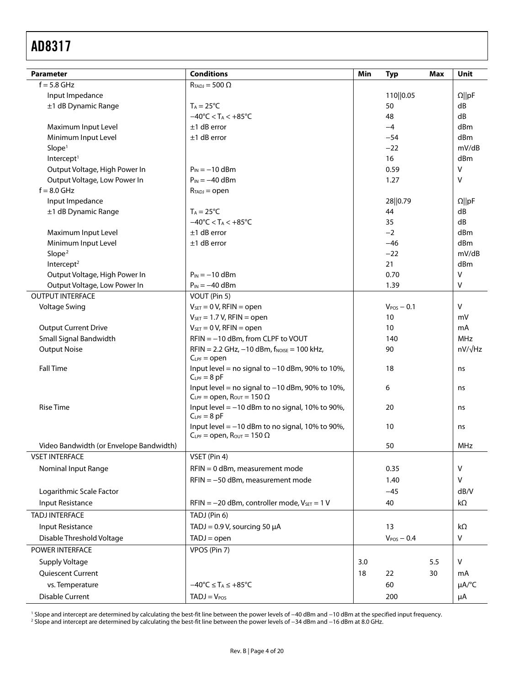<span id="page-3-0"></span>

| <b>Parameter</b>                        | <b>Conditions</b>                                                                               | Min | <b>Typ</b>      | Max | Unit           |
|-----------------------------------------|-------------------------------------------------------------------------------------------------|-----|-----------------|-----|----------------|
| $f = 5.8$ GHz                           | $R_{TADJ} = 500 \Omega$                                                                         |     |                 |     |                |
| Input Impedance                         |                                                                                                 |     | 110  0.05       |     | $\Omega$   pF  |
| ±1 dB Dynamic Range                     | $T_A = 25^{\circ}C$                                                                             |     | 50              |     | dB             |
|                                         | $-40^{\circ}$ C < T <sub>A</sub> < $+85^{\circ}$ C                                              |     | 48              |     | dB             |
| Maximum Input Level                     | $±1$ dB error                                                                                   |     | $-4$            |     | dBm            |
| Minimum Input Level                     | $±1$ dB error                                                                                   |     | $-54$           |     | dBm            |
| Slope <sup>1</sup>                      |                                                                                                 |     | $-22$           |     | mV/dB          |
| Intercept <sup>1</sup>                  |                                                                                                 |     | 16              |     | dBm            |
| Output Voltage, High Power In           | $P_{IN} = -10$ dBm                                                                              |     | 0.59            |     | v              |
| Output Voltage, Low Power In            | $P_{IN} = -40$ dBm                                                                              |     | 1.27            |     | v              |
| $f = 8.0$ GHz                           | $R_{TADJ} = open$                                                                               |     |                 |     |                |
| Input Impedance                         |                                                                                                 |     | 28 0.79         |     | $\Omega$   pF  |
| ±1 dB Dynamic Range                     | $T_A = 25^{\circ}C$                                                                             |     | 44              |     | dB             |
|                                         | $-40^{\circ}$ C < T <sub>A</sub> < $+85^{\circ}$ C                                              |     | 35              |     | dB             |
| Maximum Input Level                     | $±1$ dB error                                                                                   |     | $-2$            |     | dBm            |
| Minimum Input Level                     | $±1$ dB error                                                                                   |     | $-46$           |     | dBm            |
| Slope <sup>2</sup>                      |                                                                                                 |     | $-22$           |     | mV/dB          |
| Intercept <sup>2</sup>                  |                                                                                                 |     | 21              |     | dBm            |
| Output Voltage, High Power In           | $P_{IN} = -10$ dBm                                                                              |     | 0.70            |     | $\vee$         |
| Output Voltage, Low Power In            | $P_{IN} = -40$ dBm                                                                              |     | 1.39            |     | V              |
| <b>OUTPUT INTERFACE</b>                 | VOUT (Pin 5)                                                                                    |     |                 |     |                |
| <b>Voltage Swing</b>                    | $V_{\text{SET}} = 0 V$ , RFIN = open                                                            |     | $V_{POS}$ - 0.1 |     | v              |
|                                         | $V_{\text{SET}} = 1.7 V$ , RFIN = open                                                          |     | 10              |     | mV             |
| <b>Output Current Drive</b>             | $V_{\text{SET}} = 0 V$ , RFIN = open                                                            |     | 10 <sup>°</sup> |     | mA             |
| Small Signal Bandwidth                  | RFIN = -10 dBm, from CLPF to VOUT                                                               |     | 140             |     | <b>MHz</b>     |
| <b>Output Noise</b>                     | $RFIN = 2.2 GHz, -10 dBm, f_{NOISE} = 100 kHz,$<br>$C_{LPF} = open$                             |     | 90              |     | $nV/\sqrt{Hz}$ |
| <b>Fall Time</b>                        | Input level = no signal to $-10$ dBm, 90% to 10%,<br>$C_{LPF} = 8pF$                            |     | 18              |     | ns             |
|                                         | Input level = no signal to $-10$ dBm, 90% to 10%,<br>$C_{LPF}$ = open, $R_{OUT}$ = 150 $\Omega$ |     | 6               |     | ns             |
| <b>Rise Time</b>                        | Input level $=$ -10 dBm to no signal, 10% to 90%,<br>$C_{LPF} = 8 pF$                           |     | 20              |     | ns             |
|                                         | Input level $=$ -10 dBm to no signal, 10% to 90%,<br>$C_{LPF} =$ open, $R_{OUT} = 150 \Omega$   |     | 10 <sup>°</sup> |     | ns             |
| Video Bandwidth (or Envelope Bandwidth) |                                                                                                 |     | 50              |     | MHz            |
| <b>VSET INTERFACE</b>                   | VSET (Pin 4)                                                                                    |     |                 |     |                |
| Nominal Input Range                     | RFIN = 0 dBm, measurement mode                                                                  |     | 0.35            |     | v              |
|                                         | $RFIN = -50$ dBm, measurement mode                                                              |     | 1.40            |     | v              |
| Logarithmic Scale Factor                |                                                                                                 |     | $-45$           |     | dB/V           |
| Input Resistance                        | $RFIN = -20$ dBm, controller mode, $V_{SET} = 1 V$                                              |     | 40              |     | kΩ             |
| <b>TADJ INTERFACE</b>                   | TADJ (Pin 6)                                                                                    |     |                 |     |                |
| Input Resistance                        | TADJ = $0.9$ V, sourcing 50 $\mu$ A                                                             |     | 13              |     | kΩ             |
| Disable Threshold Voltage               | $TADJ = open$                                                                                   |     | $V_{POS}$ - 0.4 |     | V              |
| POWER INTERFACE                         | VPOS (Pin 7)                                                                                    |     |                 |     |                |
| Supply Voltage                          |                                                                                                 | 3.0 |                 | 5.5 | V              |
|                                         |                                                                                                 |     |                 |     |                |
| Quiescent Current                       |                                                                                                 | 18  | 22              | 30  | mA             |
| vs. Temperature                         | $-40^{\circ}$ C $\leq$ T <sub>A</sub> $\leq$ +85 $^{\circ}$ C                                   |     | 60              |     | µA/°C          |
| <b>Disable Current</b>                  | $TADJ = VPOS$                                                                                   |     | 200             |     | μA             |

' Slope and intercept are determined by calculating the best-fit line between the power levels of −40 dBm and −10 dBm at the specified input frequency.<br><sup>2</sup> Slope and intercept are determined by calculating the best-fit li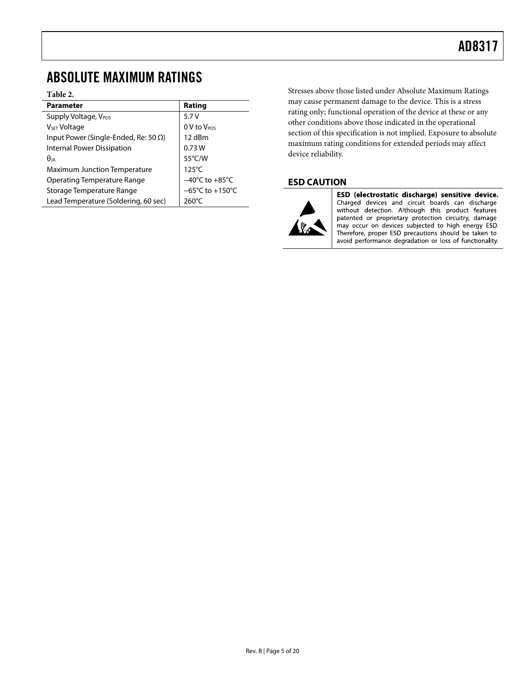### <span id="page-4-0"></span>ABSOLUTE MAXIMUM RATINGS

#### **Table 2.**

| Parameter                                    | Rating                               |
|----------------------------------------------|--------------------------------------|
| Supply Voltage, V <sub>POS</sub>             | 5.7V                                 |
| V <sub>SET</sub> Voltage                     | 0 V to V <sub>POS</sub>              |
| Input Power (Single-Ended, Re: 50 $\Omega$ ) | 12 dBm                               |
| Internal Power Dissipation                   | 0.73W                                |
| $\theta$ ja                                  | 55°C/W                               |
| <b>Maximum Junction Temperature</b>          | $125^{\circ}$ C                      |
| Operating Temperature Range                  | $-40^{\circ}$ C to $+85^{\circ}$ C   |
| Storage Temperature Range                    | $-65^{\circ}$ C to +150 $^{\circ}$ C |
| Lead Temperature (Soldering, 60 sec)         | $260^{\circ}$ C                      |

Stresses above those listed under Absolute Maximum Ratings may cause permanent damage to the device. This is a stress rating only; functional operation of the device at these or any other conditions above those indicated in the operational section of this specification is not implied. Exposure to absolute maximum rating conditions for extended periods may affect device reliability.

### **ESD CAUTION**



ESD (electrostatic discharge) sensitive device. Charged devices and circuit boards can discharge without detection. Although this product features patented or proprietary protection circuitry, damage may occur on devices subjected to high energy ESD. Therefore, proper ESD precautions should be taken to avoid performance degradation or loss of functionality.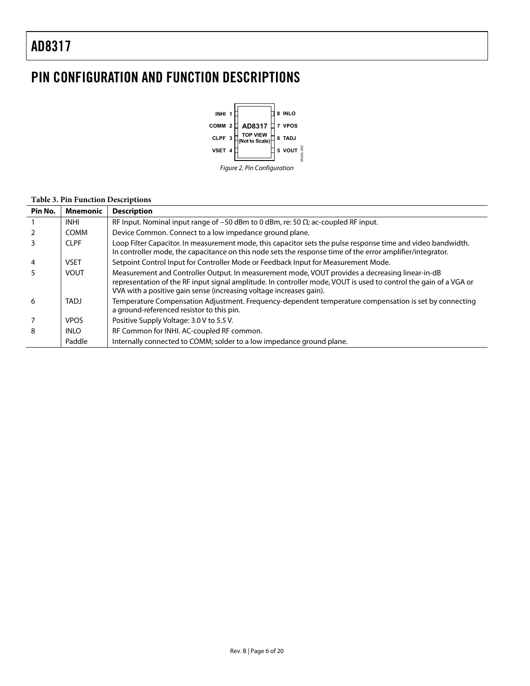## <span id="page-5-0"></span>PIN CONFIGURATION AND FUNCTION DESCRIPTIONS



### **Table 3. Pin Function Descriptions**

| Pin No.        | <b>Mnemonic</b> | <b>Description</b>                                                                                                                                                                                                                                                                          |
|----------------|-----------------|---------------------------------------------------------------------------------------------------------------------------------------------------------------------------------------------------------------------------------------------------------------------------------------------|
|                | <b>INHI</b>     | RF Input. Nominal input range of $-50$ dBm to 0 dBm, re: 50 $\Omega$ ; ac-coupled RF input.                                                                                                                                                                                                 |
| 2              | <b>COMM</b>     | Device Common. Connect to a low impedance ground plane.                                                                                                                                                                                                                                     |
| 3              | <b>CLPF</b>     | Loop Filter Capacitor. In measurement mode, this capacitor sets the pulse response time and video bandwidth.<br>In controller mode, the capacitance on this node sets the response time of the error amplifier/integrator.                                                                  |
| $\overline{4}$ | <b>VSET</b>     | Setpoint Control Input for Controller Mode or Feedback Input for Measurement Mode.                                                                                                                                                                                                          |
| 5              | <b>VOUT</b>     | Measurement and Controller Output. In measurement mode, VOUT provides a decreasing linear-in-dB<br>representation of the RF input signal amplitude. In controller mode, VOUT is used to control the gain of a VGA or<br>VVA with a positive gain sense (increasing voltage increases gain). |
| 6              | <b>TADJ</b>     | Temperature Compensation Adjustment. Frequency-dependent temperature compensation is set by connecting<br>a ground-referenced resistor to this pin.                                                                                                                                         |
| 7              | <b>VPOS</b>     | Positive Supply Voltage: 3.0 V to 5.5 V.                                                                                                                                                                                                                                                    |
| 8              | <b>INLO</b>     | RF Common for INHI. AC-coupled RF common.                                                                                                                                                                                                                                                   |
|                | Paddle          | Internally connected to COMM; solder to a low impedance ground plane.                                                                                                                                                                                                                       |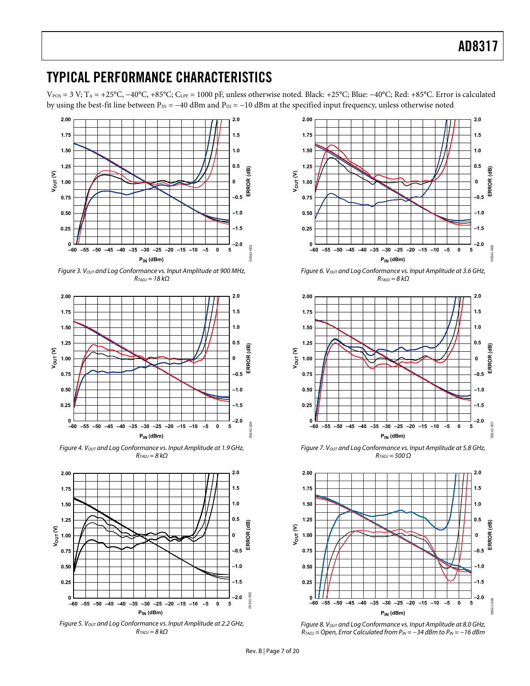### <span id="page-6-0"></span>TYPICAL PERFORMANCE CHARACTERISTICS

VPOS = 3 V; TA = +25°C, −40°C, +85°C; CLPF = 1000 pF, unless otherwise noted. Black: +25°C; Blue: −40°C; Red: +85°C. Error is calculated by using the best-fit line between  $P_{IN} = -40$  dBm and  $P_{IN} = -10$  dBm at the specified input frequency, unless otherwise noted



Figure 3. Vout and Log Conformance vs. Input Amplitude at 900 MHz,  $R_{TADJ} = 18 k\Omega$ 



Figure 4. Vout and Log Conformance vs. Input Amplitude at 1.9 GHz,  $R_{TADJ} = 8 k\Omega$ 



Figure 5. Vout and Log Conformance vs. Input Amplitude at 2.2 GHz,  $R_{\text{TADI}} = 8 kQ$ 



Figure 6. Vout and Log Conformance vs. Input Amplitude at 3.6 GHz,  $R_{TADJ} = 8 k\Omega$ 



Figure 7. Vout and Log Conformance vs. Input Amplitude at 5.8 GHz,  $R_{TADJ} = 500 \Omega$ 



Figure 8. Vout and Log Conformance vs. Input Amplitude at 8.0 GHz,  $R_{TADJ}$  = Open, Error Calculated from  $P_{IN} = -34$  dBm to  $P_{IN} = -16$  dBm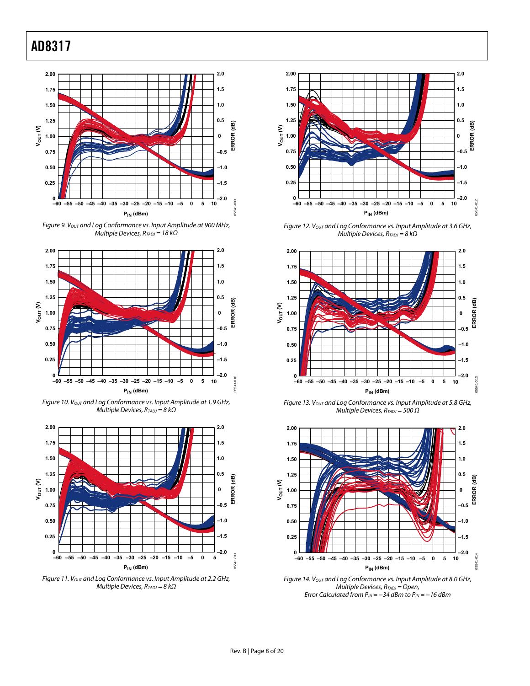

Figure 9. Vout and Log Conformance vs. Input Amplitude at 900 MHz, Multiple Devices,  $R_{TADJ} = 18 k\Omega$ 



Figure 10. Vout and Log Conformance vs. Input Amplitude at 1.9 GHz, Multiple Devices,  $R_{TADJ} = 8 kΩ$ 



Figure 11. Vout and Log Conformance vs. Input Amplitude at 2.2 GHz, Multiple Devices,  $R_{TADJ} = 8 k\Omega$ 



Figure 12. Vout and Log Conformance vs. Input Amplitude at 3.6 GHz, Multiple Devices,  $R_{TADJ} = 8 k\Omega$ 



Figure 13. Vout and Log Conformance vs. Input Amplitude at 5.8 GHz, Multiple Devices,  $R_{TADJ} = 500 \Omega$ 



Figure 14. Vout and Log Conformance vs. Input Amplitude at 8.0 GHz, Multiple Devices,  $R_{TADJ} = Open$ , Error Calculated from  $P_{IN} = -34$  dBm to  $P_{IN} = -16$  dBm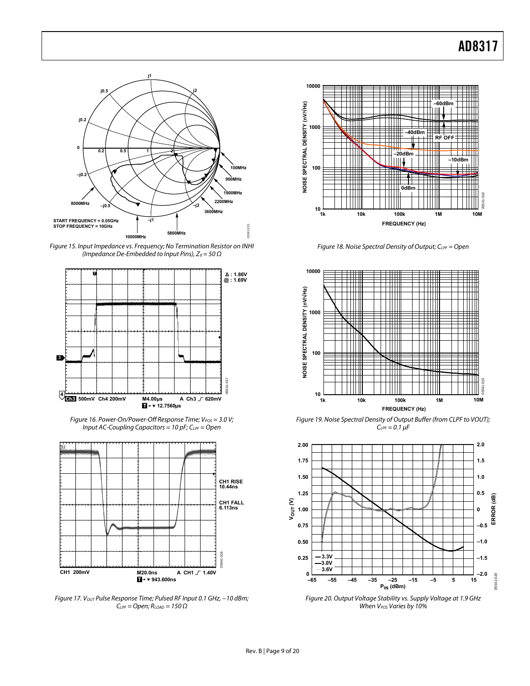

Figure 15. Input Impedance vs. Frequency; No Termination Resistor on INHI (Impedance De-Embedded to Input Pins),  $Z_0 = 50 \Omega$ 



Figure 16. Power-On/Power-Off Response Time;  $V_{POS} = 3.0 V;$ Input AC-Coupling Capacitors = 10 pF;  $C_{LPF}$  = Open



Figure 17. Vout Pulse Response Time; Pulsed RF Input 0.1 GHz, -10 dBm;  $C_{LPF} = Open; R<sub>LOAD</sub> = 150  $\Omega$$ 



Figure 18. Noise Spectral Density of Output;  $C_{LPF} =$  Open



Figure 19. Noise Spectral Density of Output Buffer (from CLPF to VOUT);  $C_{LPF} = 0.1 \mu F$ 



When  $V_{POS}$  Varies by 10%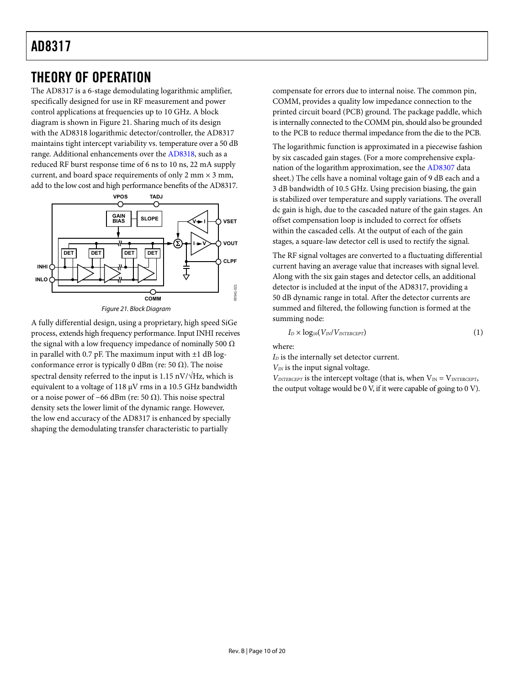### <span id="page-9-0"></span>THEORY OF OPERATION

The AD8317 is a 6-stage demodulating logarithmic amplifier, specifically designed for use in RF measurement and power control applications at frequencies up to 10 GHz. A block diagram is shown in [Figure 21](#page-9-1). Sharing much of its design with the [AD8318](http://www.analog.com/AD8318) logarithmic detector/controller, the AD8317 maintains tight intercept variability vs. temperature over a 50 dB range. Additional enhancements over the [AD8318,](http://www.analog.com/AD8318) such as a reduced RF burst response time of 6 ns to 10 ns, 22 mA supply current, and board space requirements of only 2 mm  $\times$  3 mm, add to the low cost and high performance benefits of the AD8317.



<span id="page-9-1"></span>A fully differential design, using a proprietary, high speed SiGe process, extends high frequency performance. Input INHI receives the signal with a low frequency impedance of nominally 500  $\Omega$ in parallel with 0.7 pF. The maximum input with  $\pm 1$  dB logconformance error is typically 0 dBm (re: 50  $\Omega$ ). The noise spectral density referred to the input is 1.15 nV/ $\sqrt{Hz}$ , which is equivalent to a voltage of 118 μV rms in a 10.5 GHz bandwidth or a noise power of –66 dBm (re: 50  $\Omega$ ). This noise spectral density sets the lower limit of the dynamic range. However, the low end accuracy of the AD8317 is enhanced by specially shaping the demodulating transfer characteristic to partially

compensate for errors due to internal noise. The common pin, COMM, provides a quality low impedance connection to the printed circuit board (PCB) ground. The package paddle, which is internally connected to the COMM pin, should also be grounded to the PCB to reduce thermal impedance from the die to the PCB.

The logarithmic function is approximated in a piecewise fashion by six cascaded gain stages. (For a more comprehensive explanation of the logarithm approximation, see the [AD8307](http://www.analog.com/AD8307) data sheet.) The cells have a nominal voltage gain of 9 dB each and a 3 dB bandwidth of 10.5 GHz. Using precision biasing, the gain is stabilized over temperature and supply variations. The overall dc gain is high, due to the cascaded nature of the gain stages. An offset compensation loop is included to correct for offsets within the cascaded cells. At the output of each of the gain stages, a square-law detector cell is used to rectify the signal.

The RF signal voltages are converted to a fluctuating differential current having an average value that increases with signal level. Along with the six gain stages and detector cells, an additional detector is included at the input of the AD8317, providing a 50 dB dynamic range in total. After the detector currents are summed and filtered, the following function is formed at the summing node:

$$
I_D \times log_{10}(V_{IN}/V_{INTERCEPT})
$$
 (1)

where:

*I*<sub>D</sub> is the internally set detector current.

*VIN* is the input signal voltage.

 $V_{INTERCEPT}$  is the intercept voltage (that is, when  $V_{IN} = V_{INTERCEPT}$ , the output voltage would be 0 V, if it were capable of going to 0 V).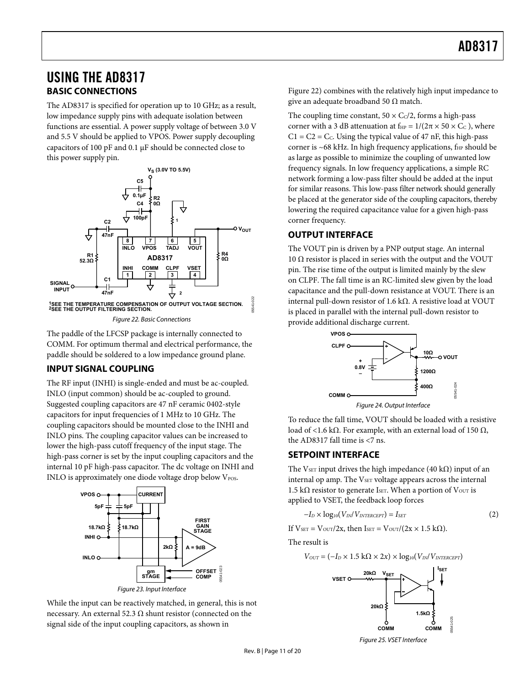### <span id="page-10-0"></span>USING THE AD8317 **BASIC CONNECTIONS**

The AD8317 is specified for operation up to 10 GHz; as a result, low impedance supply pins with adequate isolation between functions are essential. A power supply voltage of between 3.0 V and 5.5 V should be applied to VPOS. Power supply decoupling capacitors of 100 pF and 0.1 μF should be connected close to this power supply pin.



Figure 22. Basic Connections

<span id="page-10-1"></span>The paddle of the LFCSP package is internally connected to COMM. For optimum thermal and electrical performance, the paddle should be soldered to a low impedance ground plane.

### **INPUT SIGNAL COUPLING**

The RF input (INHI) is single-ended and must be ac-coupled. INLO (input common) should be ac-coupled to ground. Suggested coupling capacitors are 47 nF ceramic 0402-style capacitors for input frequencies of 1 MHz to 10 GHz. The coupling capacitors should be mounted close to the INHI and INLO pins. The coupling capacitor values can be increased to lower the high-pass cutoff frequency of the input stage. The high-pass corner is set by the input coupling capacitors and the internal 10 pF high-pass capacitor. The dc voltage on INHI and INLO is approximately one diode voltage drop below  $V_{\text{pos}}$ .



While the input can be reactively matched, in general, this is not necessary. An external 52.3  $Ω$  shunt resistor (connected on the signal side of the input coupling capacitors, as shown in

[Figure 22](#page-10-1)) combines with the relatively high input impedance to give an adequate broadband 50  $\Omega$  match.

The coupling time constant,  $50 \times C_C/2$ , forms a high-pass corner with a 3 dB attenuation at  $f_{HP} = 1/(2\pi \times 50 \times C_C)$ , where  $C1 = C2 = C<sub>c</sub>$ . Using the typical value of 47 nF, this high-pass corner is ~68 kHz. In high frequency applications,  $f_{HP}$  should be as large as possible to minimize the coupling of unwanted low frequency signals. In low frequency applications, a simple RC network forming a low-pass filter should be added at the input for similar reasons. This low-pass filter network should generally be placed at the generator side of the coupling capacitors, thereby lowering the required capacitance value for a given high-pass corner frequency.

### **OUTPUT INTERFACE**

The VOUT pin is driven by a PNP output stage. An internal 10 Ω resistor is placed in series with the output and the VOUT pin. The rise time of the output is limited mainly by the slew on CLPF. The fall time is an RC-limited slew given by the load capacitance and the pull-down resistance at VOUT. There is an internal pull-down resistor of 1.6 kΩ. A resistive load at VOUT is placed in parallel with the internal pull-down resistor to provide additional discharge current.



Figure 24. Output Interface

To reduce the fall time, VOUT should be loaded with a resistive load of <1.6 kΩ. For example, with an external load of 150  $Ω$ , the AD8317 fall time is <7 ns.

### **SETPOINT INTERFACE**

The VsET input drives the high impedance (40 kΩ) input of an internal op amp. The VSET voltage appears across the internal 1.5 kΩ resistor to generate I<sub>SET</sub>. When a portion of V<sub>OUT</sub> is applied to VSET, the feedback loop forces

$$
-I_D \times \log_{10}(V_{IN}/V_{INTERCEPT}) = I_{SET}
$$
 (2)

If  $V_{\text{SET}} = V_{\text{OUT}}/2x$ , then  $I_{\text{SET}} = V_{\text{OUT}}/(2x \times 1.5 \text{ k}\Omega)$ .

The result is

$$
V_{OUT} = (-I_D \times 1.5 \text{ k}\Omega \times 2x) \times \log_{10}(V_{IN}/V_{INTERCEPT})
$$



Figure 25. VSET Interface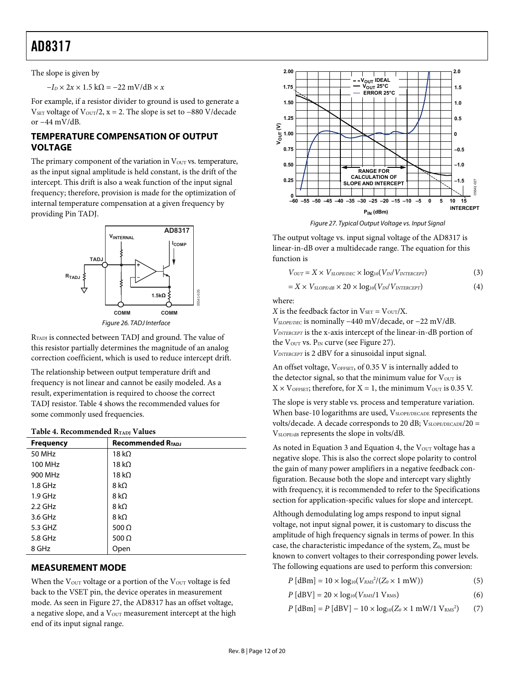<span id="page-11-0"></span>The slope is given by

 $-I_D \times 2x \times 1.5$  kΩ =  $-22$  mV/dB  $\times x$ 

For example, if a resistor divider to ground is used to generate a VSET voltage of V<sub>OUT</sub>/2,  $x = 2$ . The slope is set to -880 V/decade or −44 mV/dB.

### **TEMPERATURE COMPENSATION OF OUTPUT VOLTAGE**

The primary component of the variation in  $V<sub>OUT</sub>$  vs. temperature, as the input signal amplitude is held constant, is the drift of the intercept. This drift is also a weak function of the input signal frequency; therefore, provision is made for the optimization of internal temperature compensation at a given frequency by providing Pin TADJ.

<span id="page-11-2"></span>



RTADJ is connected between TADJ and ground. The value of this resistor partially determines the magnitude of an analog correction coefficient, which is used to reduce intercept drift.

The relationship between output temperature drift and frequency is not linear and cannot be easily modeled. As a result, experimentation is required to choose the correct TADJ resistor. [Table 4](#page-11-1) shows the recommended values for some commonly used frequencies.

#### **Table 4. Recommended RTADJ Values**

<span id="page-11-1"></span>

| <b>Frequency</b> | <b>Recommended RTADJ</b> |
|------------------|--------------------------|
| 50 MHz           | 18 k $\Omega$            |
| 100 MHz          | 18 k $\Omega$            |
| 900 MHz          | 18 k $\Omega$            |
| $1.8$ GHz        | 8 k $\Omega$             |
| $1.9$ GHz        | 8 k $\Omega$             |
| $2.2$ GHz        | 8 k $\Omega$             |
| 3.6 GHz          | 8 k $\Omega$             |
| 5.3 GHZ          | 500 $\Omega$             |
| 5.8 GHz          | 500 $\Omega$             |
| 8 GHz            | Open                     |

### **MEASUREMENT MODE**

When the V<sub>OUT</sub> voltage or a portion of the V<sub>OUT</sub> voltage is fed back to the VSET pin, the device operates in measurement mode. As seen in [Figure 27](#page-11-2), the AD8317 has an offset voltage, a negative slope, and a  $V<sub>OUT</sub>$  measurement intercept at the high end of its input signal range.



Figure 27. Typical Output Voltage vs. Input Signal

The output voltage vs. input signal voltage of the AD8317 is linear-in-dB over a multidecade range. The equation for this function is

$$
V_{OUT} = X \times V_{SLOPE/DEC} \times log_{10}(V_{IN}/V_{INTERCEPT})
$$
\n(3)

$$
= X \times V_{SLOPE/dB} \times 20 \times log_{10}(V_{IN}/V_{INTERCEPT})
$$
\n(4)

where:

*X* is the feedback factor in  $V_{\text{SET}} = V_{\text{OUT}}/X$ . *V<sub>SLOPE/DEC</sub>* is nominally −440 mV/decade, or −22 mV/dB. *VINTERCEPT* is the x-axis intercept of the linear-in-dB portion of the  $V_{\text{OUT}}$  vs.  $P_{\text{IN}}$  curve (see [Figure 27](#page-11-2)).

*VINTERCEPT* is 2 dBV for a sinusoidal input signal.

An offset voltage, VOFFSET, of 0.35 V is internally added to the detector signal, so that the minimum value for  $V_{\text{OUT}}$  is  $X \times V_{\text{OFFSET}}$ ; therefore, for  $X = 1$ , the minimum  $V_{\text{OUT}}$  is 0.35 V.

The slope is very stable vs. process and temperature variation. When base-10 logarithms are used, VSLOPE/DECADE represents the volts/decade. A decade corresponds to 20 dB;  $V_{SLOPE/DECADE}/20 =$ VSLOPE/dB represents the slope in volts/dB.

As noted in Equation 3 and Equation 4, the  $V<sub>OUT</sub>$  voltage has a negative slope. This is also the correct slope polarity to control the gain of many power amplifiers in a negative feedback configuration. Because both the slope and intercept vary slightly with frequency, it is recommended to refer to the [Specifications](#page-2-1) section for application-specific values for slope and intercept.

Although demodulating log amps respond to input signal voltage, not input signal power, it is customary to discuss the amplitude of high frequency signals in terms of power. In this case, the characteristic impedance of the system, Z<sub>0</sub>, must be known to convert voltages to their corresponding power levels. The following equations are used to perform this conversion:

 $P [dBm] = 10 \times log_{10}(V_{RMS}^2/(Z_0 \times 1 \text{ mW}))$  (5)

$$
P\left[\text{dBV}\right] = 20 \times \log_{10}(V_{RMS}/1 \text{ V}_{RMS}) \tag{6}
$$

 $P$  [dBm] =  $P$  [dBV] – 10 × log<sub>10</sub>( $Z_0$  × 1 mW/1 V<sub>RMS</sub><sup>2</sup>) ) (7)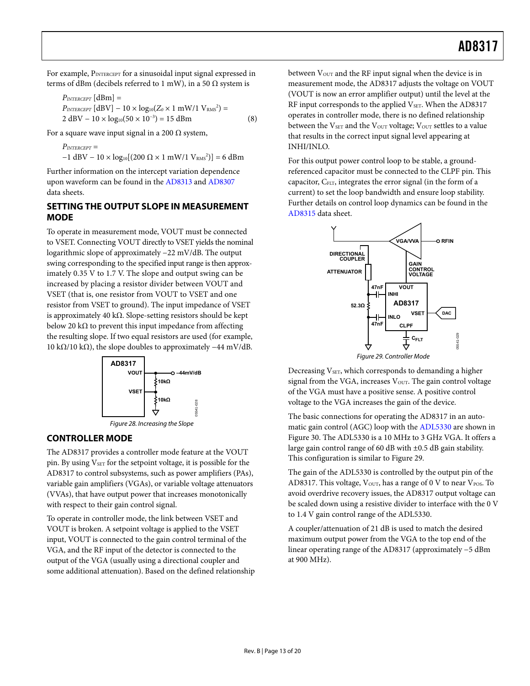<span id="page-12-0"></span>For example, PINTERCEPT for a sinusoidal input signal expressed in terms of dBm (decibels referred to 1 mW), in a 50  $\Omega$  system is

$$
P_{INTERCEPT} \text{[dBm]} =
$$
\n
$$
P_{INTERCEPT} \text{[dBV]} - 10 \times \log_{10}(Z_0 \times 1 \text{ mW/1 V}_{RMS}^2) =
$$
\n
$$
2 \text{ dBV} - 10 \times \log_{10}(50 \times 10^{-3}) = 15 \text{ dBm}
$$
\n(8)

For a square wave input signal in a 200  $\Omega$  system,

$$
P_{\text{INTERCEPT}} =
$$
\n
$$
-1 \text{ dBV} - 10 \times \log_{10}[(200 \ \Omega \times 1 \text{ mW/1 V}_{\text{RMS}}^2)] = 6 \text{ dBm}
$$

Further information on the intercept variation dependence upon waveform can be found in the [AD8313](http://www.analog.com/AD8313) and [AD8307](http://www.analog.com/AD8307) data sheets.

#### **SETTING THE OUTPUT SLOPE IN MEASUREMENT MODE**

To operate in measurement mode, VOUT must be connected to VSET. Connecting VOUT directly to VSET yields the nominal logarithmic slope of approximately −22 mV/dB. The output swing corresponding to the specified input range is then approximately 0.35 V to 1.7 V. The slope and output swing can be increased by placing a resistor divider between VOUT and VSET (that is, one resistor from VOUT to VSET and one resistor from VSET to ground). The input impedance of VSET is approximately 40 kΩ. Slope-setting resistors should be kept below 20 k $\Omega$  to prevent this input impedance from affecting the resulting slope. If two equal resistors are used (for example, 10 kΩ/10 kΩ), the slope doubles to approximately  $-44$  mV/dB.



#### <span id="page-12-1"></span>**CONTROLLER MODE**

The AD8317 provides a controller mode feature at the VOUT pin. By using  $V_{\text{SET}}$  for the setpoint voltage, it is possible for the AD8317 to control subsystems, such as power amplifiers (PAs), variable gain amplifiers (VGAs), or variable voltage attenuators (VVAs), that have output power that increases monotonically with respect to their gain control signal.

To operate in controller mode, the link between VSET and VOUT is broken. A setpoint voltage is applied to the VSET input, VOUT is connected to the gain control terminal of the VGA, and the RF input of the detector is connected to the output of the VGA (usually using a directional coupler and some additional attenuation). Based on the defined relationship between  $V<sub>OUT</sub>$  and the RF input signal when the device is in measurement mode, the AD8317 adjusts the voltage on VOUT (VOUT is now an error amplifier output) until the level at the RF input corresponds to the applied V<sub>SET</sub>. When the AD8317 operates in controller mode, there is no defined relationship between the  $V<sub>SET</sub>$  and the  $V<sub>OUT</sub>$  voltage;  $V<sub>OUT</sub>$  settles to a value that results in the correct input signal level appearing at INHI/INLO.

For this output power control loop to be stable, a groundreferenced capacitor must be connected to the CLPF pin. This capacitor, C<sub>FLT</sub>, integrates the error signal (in the form of a current) to set the loop bandwidth and ensure loop stability. Further details on control loop dynamics can be found in the [AD8315](http://www.analog.com/AD8315) data sheet.



Decreasing V<sub>SET</sub>, which corresponds to demanding a higher signal from the VGA, increases  $V<sub>OUT</sub>$ . The gain control voltage of the VGA must have a positive sense. A positive control voltage to the VGA increases the gain of the device.

The basic connections for operating the AD8317 in an automatic gain control (AGC) loop with the [ADL5330](http://www.analog.com/ADL5330) are shown in [Figure 30](#page-13-0). The [ADL5330](http://www.analog.com/ADL5330) is a 10 MHz to 3 GHz VGA. It offers a large gain control range of 60 dB with  $\pm$ 0.5 dB gain stability. This configuration is similar to [Figure 29](#page-12-1).

The gain of the [ADL5330](http://www.analog.com/ADL5330) is controlled by the output pin of the AD8317. This voltage,  $V_{\text{OUT}}$ , has a range of 0 V to near  $V_{\text{POS}}$ . To avoid overdrive recovery issues, the AD8317 output voltage can be scaled down using a resistive divider to interface with the 0 V to 1.4 V gain control range of the [ADL5330.](http://www.analog.com/ADL5330)

A coupler/attenuation of 21 dB is used to match the desired maximum output power from the VGA to the top end of the linear operating range of the AD8317 (approximately −5 dBm at 900 MHz).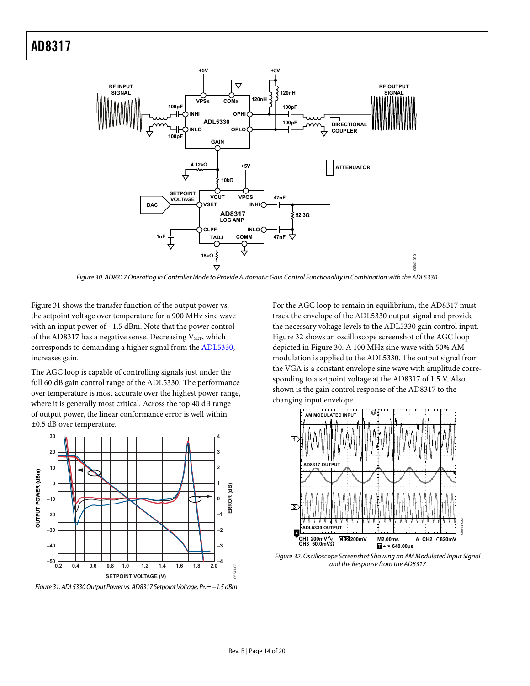

Figure 30. AD8317 Operating in Controller Mode to Provide Automatic Gain Control Functionality in Combination with the ADL5330

<span id="page-13-0"></span>[Figure 31](#page-13-1) shows the transfer function of the output power vs. the setpoint voltage over temperature for a 900 MHz sine wave with an input power of −1.5 dBm. Note that the power control of the AD8317 has a negative sense. Decreasing VSET, which corresponds to demanding a higher signal from the [ADL5330](http://www.analog.com/ADL5330), increases gain.

The AGC loop is capable of controlling signals just under the full 60 dB gain control range of the ADL5330. The performance over temperature is most accurate over the highest power range, where it is generally most critical. Across the top 40 dB range of output power, the linear conformance error is well within ±0.5 dB over temperature.



<span id="page-13-2"></span><span id="page-13-1"></span>Figure 31. ADL5330 Output Power vs. AD8317 Setpoint Voltage, P<sub>IN</sub> = −1.5 dBm

For the AGC loop to remain in equilibrium, the AD8317 must track the envelope of the ADL5330 output signal and provide the necessary voltage levels to the ADL5330 gain control input. [Figure 32](#page-13-2) shows an oscilloscope screenshot of the AGC loop depicted in [Figure 30](#page-13-0). A 100 MHz sine wave with 50% AM modulation is applied to the ADL5330. The output signal from the VGA is a constant envelope sine wave with amplitude corresponding to a setpoint voltage at the AD8317 of 1.5 V. Also shown is the gain control response of the AD8317 to the changing input envelope.



Figure 32. Oscilloscope Screenshot Showing an AM Modulated Input Signal and the Response from the AD8317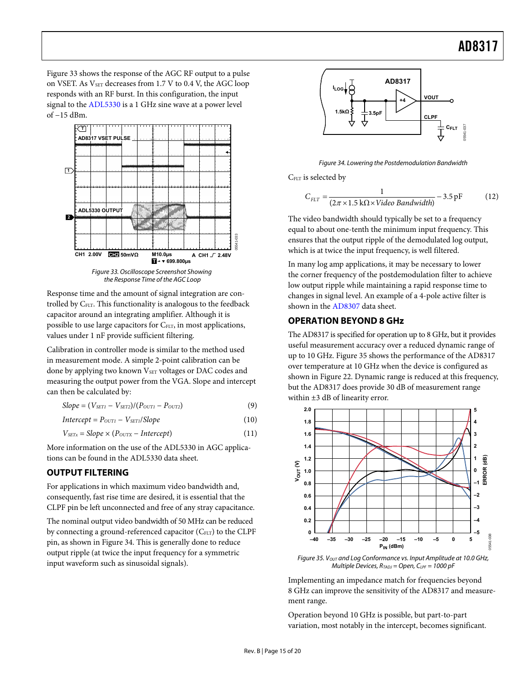<span id="page-14-0"></span>[Figure 33](#page-14-1) shows the response of the AGC RF output to a pulse on VSET. As  $V<sub>SET</sub>$  decreases from 1.7 V to 0.4 V, the AGC loop responds with an RF burst. In this configuration, the input signal to the [ADL5330](http://www.analog.com/adl5330) is a 1 GHz sine wave at a power level of −15 dBm.

<span id="page-14-2"></span>

Figure 33. Oscilloscope Screenshot Showing the Response Time of the AGC Loop

<span id="page-14-1"></span>Response time and the amount of signal integration are controlled by C<sub>FLT</sub>. This functionality is analogous to the feedback capacitor around an integrating amplifier. Although it is possible to use large capacitors for C<sub>FLT</sub>, in most applications, values under 1 nF provide sufficient filtering.

Calibration in controller mode is similar to the method used in measurement mode. A simple 2-point calibration can be done by applying two known V<sub>SET</sub> voltages or DAC codes and measuring the output power from the VGA. Slope and intercept can then be calculated by:

 $Slope = (V_{SET1} - V_{SET2})/(P_{OUT1} - P_{OUT2})$  (9)

$$
Intercept = P_{OUT1} - V_{SET1}/Slope
$$
 (10)

$$
V_{SETx} = Slope \times (P_{OUTX} - Intercept)
$$
 (11)

More information on the use of the [ADL5330](http://www.analog.com/adl5330) in AGC applications can be found in the [ADL5330](http://www.analog.com/adl5330) data sheet.

### <span id="page-14-4"></span>**OUTPUT FILTERING**

For applications in which maximum video bandwidth and, consequently, fast rise time are desired, it is essential that the CLPF pin be left unconnected and free of any stray capacitance.

<span id="page-14-3"></span>The nominal output video bandwidth of 50 MHz can be reduced by connecting a ground-referenced capacitor (CFLT) to the CLPF pin, as shown in [Figure 34](#page-14-2). This is generally done to reduce output ripple (at twice the input frequency for a symmetric input waveform such as sinusoidal signals).



Figure 34. Lowering the Postdemodulation Bandwidth

C<sub>FLT</sub> is selected by

$$
C_{ELT} = \frac{1}{(2\pi \times 1.5 \text{ k}\Omega \times \text{Video Bandwidth})} - 3.5 \text{ pF}
$$
 (12)

The video bandwidth should typically be set to a frequency equal to about one-tenth the minimum input frequency. This ensures that the output ripple of the demodulated log output, which is at twice the input frequency, is well filtered.

In many log amp applications, it may be necessary to lower the corner frequency of the postdemodulation filter to achieve low output ripple while maintaining a rapid response time to changes in signal level. An example of a 4-pole active filter is shown in the [AD8307](http://www.analog.com/AD8307) data sheet.

### **OPERATION BEYOND 8 GHz**

The AD8317 is specified for operation up to 8 GHz, but it provides useful measurement accuracy over a reduced dynamic range of up to 10 GHz. [Figure 35](#page-14-3) shows the performance of the AD8317 over temperature at 10 GHz when the device is configured as shown in [Figure 22](#page-10-1). Dynamic range is reduced at this frequency, but the AD8317 does provide 30 dB of measurement range within ±3 dB of linearity error.



Figure 35.  $V<sub>OUT</sub>$  and Log Conformance vs. Input Amplitude at 10.0 GHz, Multiple Devices,  $R_{TADJ} = Open$ ,  $C_{LPF} = 1000$  pF

Implementing an impedance match for frequencies beyond 8 GHz can improve the sensitivity of the AD8317 and measurement range.

Operation beyond 10 GHz is possible, but part-to-part variation, most notably in the intercept, becomes significant.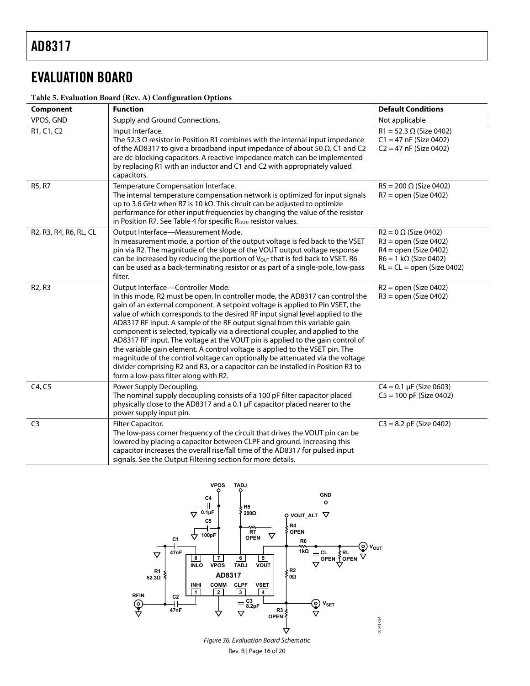## <span id="page-15-0"></span>EVALUATION BOARD

#### **Table 5. Evaluation Board (Rev. A) Configuration Options**

| Component                                        | <b>Function</b>                                                                                                                                                                                                                                                                                                                                                                                                                                                                                                                                                                                                                                                                                                                                                                                                                     | <b>Default Conditions</b>                                                                                                                         |
|--------------------------------------------------|-------------------------------------------------------------------------------------------------------------------------------------------------------------------------------------------------------------------------------------------------------------------------------------------------------------------------------------------------------------------------------------------------------------------------------------------------------------------------------------------------------------------------------------------------------------------------------------------------------------------------------------------------------------------------------------------------------------------------------------------------------------------------------------------------------------------------------------|---------------------------------------------------------------------------------------------------------------------------------------------------|
| VPOS, GND                                        | Supply and Ground Connections.                                                                                                                                                                                                                                                                                                                                                                                                                                                                                                                                                                                                                                                                                                                                                                                                      | Not applicable                                                                                                                                    |
| R <sub>1</sub> , C <sub>1</sub> , C <sub>2</sub> | Input Interface.<br>The 52.3 $\Omega$ resistor in Position R1 combines with the internal input impedance<br>of the AD8317 to give a broadband input impedance of about 50 $\Omega$ . C1 and C2<br>are dc-blocking capacitors. A reactive impedance match can be implemented<br>by replacing R1 with an inductor and C1 and C2 with appropriately valued<br>capacitors.                                                                                                                                                                                                                                                                                                                                                                                                                                                              | $R1 = 52.3 \Omega$ (Size 0402)<br>$C1 = 47$ nF (Size 0402)<br>$C2 = 47$ nF (Size 0402)                                                            |
| R5, R7                                           | Temperature Compensation Interface.<br>The internal temperature compensation network is optimized for input signals<br>up to 3.6 GHz when R7 is 10 k $\Omega$ . This circuit can be adjusted to optimize<br>performance for other input frequencies by changing the value of the resistor<br>in Position R7. See Table 4 for specific R <sub>TADJ</sub> resistor values.                                                                                                                                                                                                                                                                                                                                                                                                                                                            | $R5 = 200 \Omega$ (Size 0402)<br>$R7 =$ open (Size 0402)                                                                                          |
| R2, R3, R4, R6, RL, CL                           | Output Interface-Measurement Mode.<br>In measurement mode, a portion of the output voltage is fed back to the VSET<br>pin via R2. The magnitude of the slope of the VOUT output voltage response<br>can be increased by reducing the portion of V <sub>OUT</sub> that is fed back to VSET. R6<br>can be used as a back-terminating resistor or as part of a single-pole, low-pass<br>filter.                                                                                                                                                                                                                                                                                                                                                                                                                                        | $R2 = 0 \Omega$ (Size 0402)<br>$R3 =$ open (Size 0402)<br>$R4 =$ open (Size 0402)<br>$R6 = 1 k\Omega$ (Size 0402)<br>$RL = CL = open (Size 0402)$ |
| R <sub>2</sub> , R <sub>3</sub>                  | Output Interface-Controller Mode.<br>In this mode, R2 must be open. In controller mode, the AD8317 can control the<br>gain of an external component. A setpoint voltage is applied to Pin VSET, the<br>value of which corresponds to the desired RF input signal level applied to the<br>AD8317 RF input. A sample of the RF output signal from this variable gain<br>component is selected, typically via a directional coupler, and applied to the<br>AD8317 RF input. The voltage at the VOUT pin is applied to the gain control of<br>the variable gain element. A control voltage is applied to the VSET pin. The<br>magnitude of the control voltage can optionally be attenuated via the voltage<br>divider comprising R2 and R3, or a capacitor can be installed in Position R3 to<br>form a low-pass filter along with R2. | $R2 =$ open (Size 0402)<br>$R3 =$ open (Size 0402)                                                                                                |
| C4, C5                                           | Power Supply Decoupling.<br>The nominal supply decoupling consists of a 100 pF filter capacitor placed<br>physically close to the AD8317 and a 0.1 µF capacitor placed nearer to the<br>power supply input pin.                                                                                                                                                                                                                                                                                                                                                                                                                                                                                                                                                                                                                     | $C4 = 0.1 \mu F$ (Size 0603)<br>$CS = 100$ pF (Size 0402)                                                                                         |
| C <sub>3</sub>                                   | Filter Capacitor.<br>The low-pass corner frequency of the circuit that drives the VOUT pin can be<br>lowered by placing a capacitor between CLPF and ground. Increasing this<br>capacitor increases the overall rise/fall time of the AD8317 for pulsed input<br>signals. See the Output Filtering section for more details.                                                                                                                                                                                                                                                                                                                                                                                                                                                                                                        | $C3 = 8.2$ pF (Size 0402)                                                                                                                         |

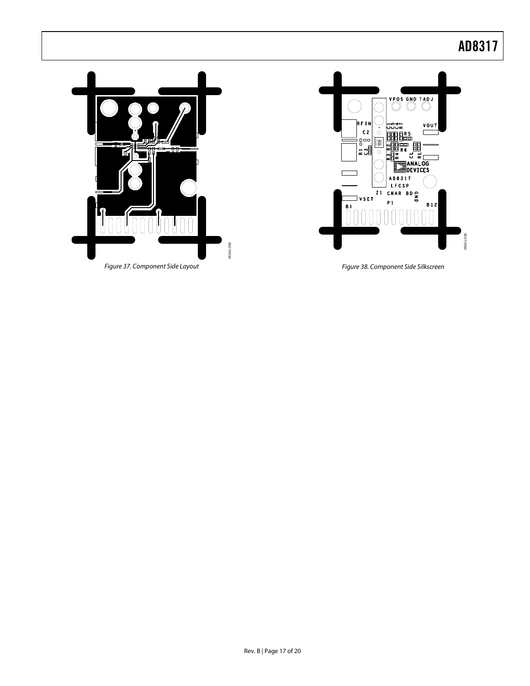



Figure 38. Component Side Silkscreen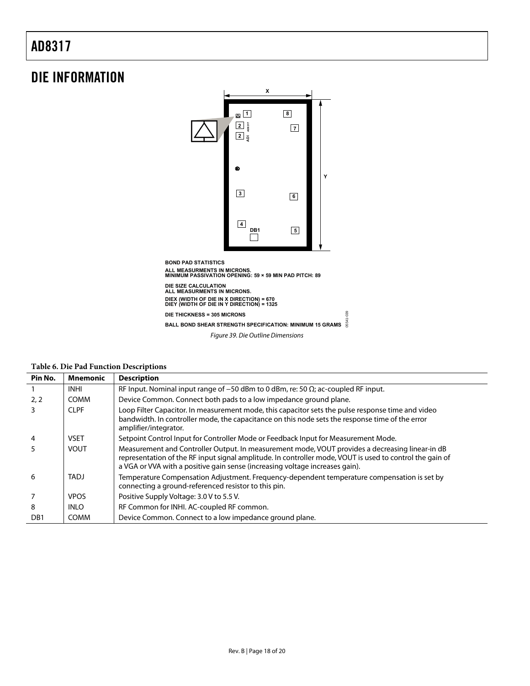### <span id="page-17-0"></span>DIE INFORMATION



Figure 39. Die Outline Dimensions

05541-039

| Pin No.          | <b>Mnemonic</b> | <b>Description</b>                                                                                                                                                                                                                                                                          |  |  |  |
|------------------|-----------------|---------------------------------------------------------------------------------------------------------------------------------------------------------------------------------------------------------------------------------------------------------------------------------------------|--|--|--|
|                  | <b>INHI</b>     | RF Input. Nominal input range of $-50$ dBm to 0 dBm, re: 50 $\Omega$ ; ac-coupled RF input.                                                                                                                                                                                                 |  |  |  |
| 2, 2             | <b>COMM</b>     | Device Common. Connect both pads to a low impedance ground plane.                                                                                                                                                                                                                           |  |  |  |
| 3.               | <b>CLPF</b>     | Loop Filter Capacitor. In measurement mode, this capacitor sets the pulse response time and video<br>bandwidth. In controller mode, the capacitance on this node sets the response time of the error<br>amplifier/integrator.                                                               |  |  |  |
| 4                | <b>VSET</b>     | Setpoint Control Input for Controller Mode or Feedback Input for Measurement Mode.                                                                                                                                                                                                          |  |  |  |
|                  | <b>VOUT</b>     | Measurement and Controller Output. In measurement mode, VOUT provides a decreasing linear-in dB<br>representation of the RF input signal amplitude. In controller mode, VOUT is used to control the gain of<br>a VGA or VVA with a positive gain sense (increasing voltage increases gain). |  |  |  |
| 6                | TADJ            | Temperature Compensation Adjustment. Frequency-dependent temperature compensation is set by<br>connecting a ground-referenced resistor to this pin.                                                                                                                                         |  |  |  |
|                  | <b>VPOS</b>     | Positive Supply Voltage: 3.0 V to 5.5 V.                                                                                                                                                                                                                                                    |  |  |  |
| 8                | <b>INLO</b>     | RF Common for INHI. AC-coupled RF common.                                                                                                                                                                                                                                                   |  |  |  |
| D <sub>B</sub> 1 | <b>COMM</b>     | Device Common. Connect to a low impedance ground plane.                                                                                                                                                                                                                                     |  |  |  |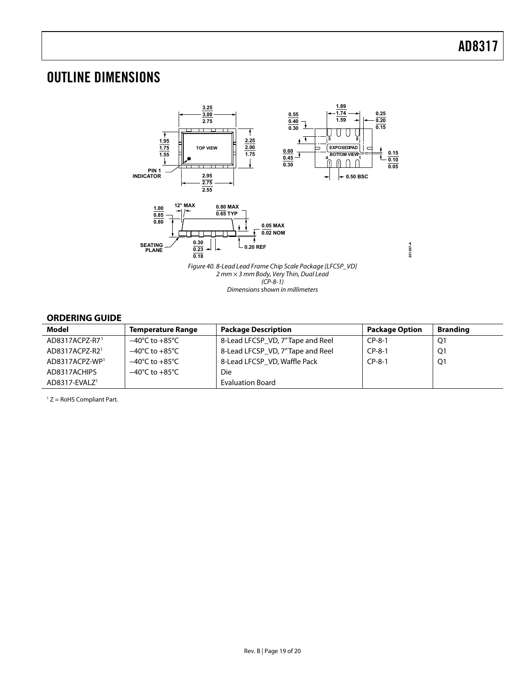### <span id="page-18-0"></span>OUTLINE DIMENSIONS



Dimensions shown in millimeters

#### **ORDERING GUIDE**

| Model                        | <b>Temperature Range</b>           | <b>Package Description</b>       | <b>Package Option</b> | <b>Branding</b> |
|------------------------------|------------------------------------|----------------------------------|-----------------------|-----------------|
| AD8317ACPZ-R71               | $-40^{\circ}$ C to $+85^{\circ}$ C | 8-Lead LFCSP_VD, 7"Tape and Reel | $CP-8-1$              | Q1              |
| AD8317ACPZ-R21               | $-40^{\circ}$ C to $+85^{\circ}$ C | 8-Lead LFCSP VD, 7"Tape and Reel | $CP-8-1$              | Q1              |
| AD8317ACPZ-WP <sup>1</sup>   | $-40^{\circ}$ C to $+85^{\circ}$ C | 8-Lead LFCSP VD, Waffle Pack     | $CP-8-1$              | Q1              |
| AD8317ACHIPS                 | $-40^{\circ}$ C to $+85^{\circ}$ C | Die                              |                       |                 |
| $AD8317$ -EVALZ <sup>1</sup> |                                    | <b>Evaluation Board</b>          |                       |                 |

 $1 Z =$  RoHS Compliant Part.